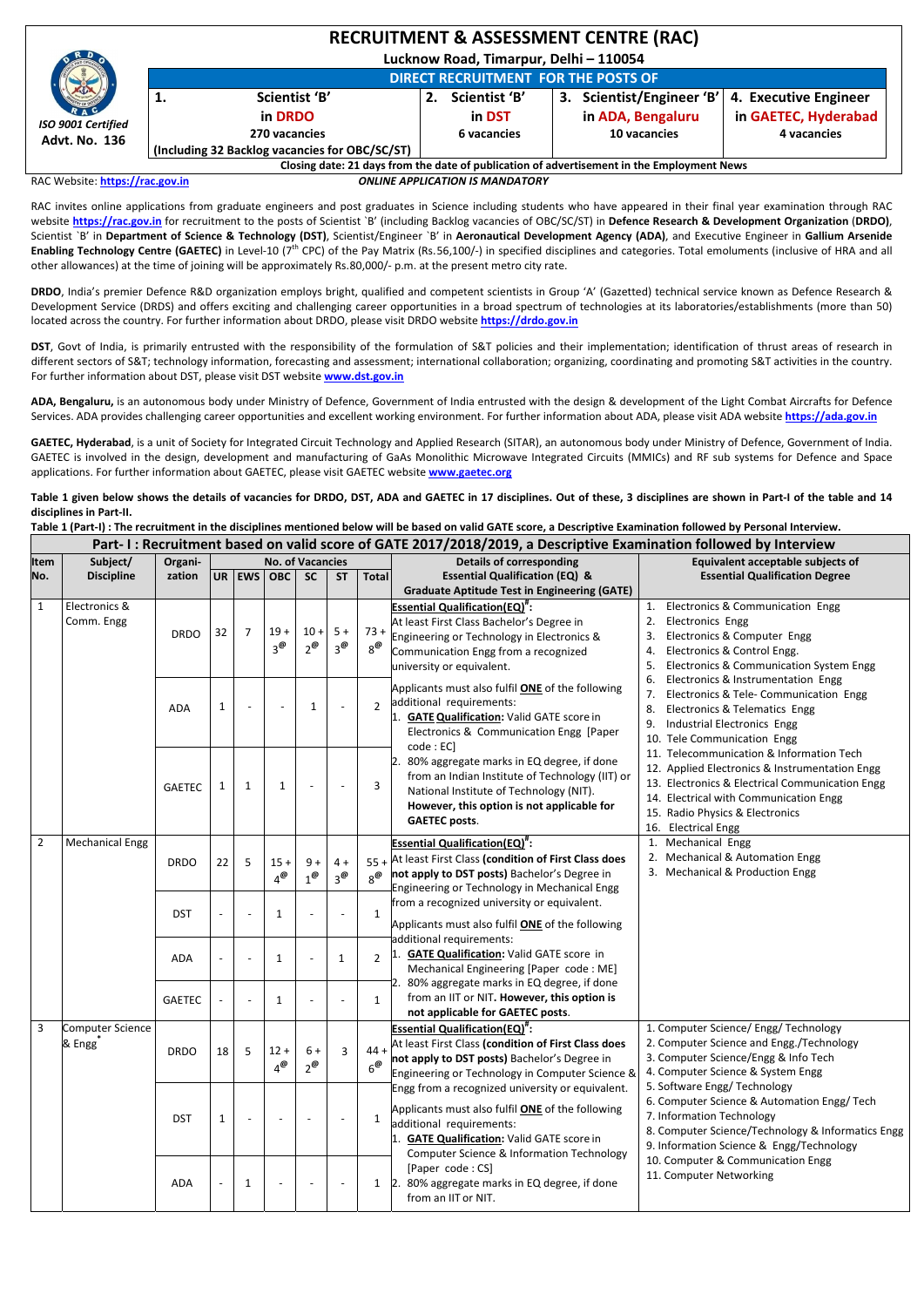|                                                   | <b>RECRUITMENT &amp; ASSESSMENT CENTRE (RAC)</b> |                                            |             |               |  |                                                                                            |                       |  |  |  |  |  |  |
|---------------------------------------------------|--------------------------------------------------|--------------------------------------------|-------------|---------------|--|--------------------------------------------------------------------------------------------|-----------------------|--|--|--|--|--|--|
| RAC<br>ISO 9001 Certified<br><b>Advt. No. 136</b> | Lucknow Road, Timarpur, Delhi - 110054           |                                            |             |               |  |                                                                                            |                       |  |  |  |  |  |  |
|                                                   |                                                  | <b>DIRECT RECRUITMENT FOR THE POSTS OF</b> |             |               |  |                                                                                            |                       |  |  |  |  |  |  |
|                                                   | 1.                                               | Scientist 'B'                              |             | Scientist 'B' |  | 3. Scientist/Engineer 'B'                                                                  | 4. Executive Engineer |  |  |  |  |  |  |
|                                                   |                                                  | in DRDO                                    |             | in DST        |  | in ADA, Bengaluru                                                                          | in GAETEC, Hyderabad  |  |  |  |  |  |  |
|                                                   |                                                  | 270 vacancies                              | 6 vacancies |               |  | 10 vacancies                                                                               | 4 vacancies           |  |  |  |  |  |  |
|                                                   | (Including 32 Backlog vacancies for OBC/SC/ST)   |                                            |             |               |  |                                                                                            |                       |  |  |  |  |  |  |
|                                                   |                                                  |                                            |             |               |  | Closing date: 21 days from the date of publication of advertisement in the Employment News |                       |  |  |  |  |  |  |

RAC Website: **https://rac.gov.in** *ONLINE APPLICATION IS MANDATORY*

RAC invites online applications from graduate engineers and post graduates in Science including students who have appeared in their final year examination through RAC website **https://rac.gov.in** for recruitment to the posts of Scientist `B' (including Backlog vacancies of OBC/SC/ST) in **Defence Research & Development Organization** (**DRDO)**, Scientist `B' in Department of Science & Technology (DST), Scientist/Engineer `B' in Aeronautical Development Agency (ADA), and Executive Engineer in Gallium Arsenide **Enabling Technology Centre (GAETEC)** in Level-10 (7<sup>th</sup> CPC) of the Pay Matrix (Rs.56,100/-) in specified disciplines and categories. Total emoluments (inclusive of HRA and all other allowances) at the time of joining will be approximately Rs. 80,000/‐ p.m. at the present metro city rate.

DST, Govt of India, is primarily entrusted with the responsibility of the formulation of S&T policies and their implementation; identification of thrust areas of research in different sectors of S&T; technology information, forecasting and assessment; international collaboration; organizing, coordinating and promoting S&T activities in the country. For further information about DST, please visit DST website **www.dst.gov.in**

**ADA, Bengaluru,** is an autonomous body under Ministry of Defence, Government of India entrusted with the design & development of the Light Combat Aircrafts for Defence Services. ADA provides challenging career opportunities and excellent working environment. For further information about ADA, please visit ADA website https://ada.gov.in

Table 1 given below shows the details of vacancies for DRDO, DST, ADA and GAETEC in 17 disciplines. Out of these, 3 disciplines are shown in Part-I of the table and 14 **disciplines in Part‐II.**

Table 1 (Part-I) : The recruitment in the disciplines mentioned below will be based on valid GATE score, a Descriptive Examination followed by Personal Interview.

**DRDO**, India's premier Defence R&D organization employs bright, qualified and competent scientists in Group 'A' (Gazetted) technical service known as Defence Research & Development Service (DRDS) and offers exciting and challenging career opportunities in a broad spectrum of technologies at its laboratories/establishments (more than 50) located across the country. For further information about DRDO, please visit DRDO website **https://drdo.gov.in**

**GAETEC, Hyderabad**, is a unit of Society for Integrated Circuit Technology and Applied Research (SITAR), an autonomous body under Ministry of Defence, Government of India. GAETEC is involved in the design, development and manufacturing of GaAs Monolithic Microwave Integrated Circuits (MMICs) and RF sub systems for Defence and Space applications. For further information about GAETEC, please visit GAETEC website **www.gaetec.org**

|                | Part-I: Recruitment based on valid score of GATE 2017/2018/2019, a Descriptive Examination followed by Interview |               |                          |   |                                      |                        |                     |                                     |                                                                                                                                                                                                                                        |                                                                                                                                                                                                                                                   |  |  |
|----------------|------------------------------------------------------------------------------------------------------------------|---------------|--------------------------|---|--------------------------------------|------------------------|---------------------|-------------------------------------|----------------------------------------------------------------------------------------------------------------------------------------------------------------------------------------------------------------------------------------|---------------------------------------------------------------------------------------------------------------------------------------------------------------------------------------------------------------------------------------------------|--|--|
| Item           | Subject/                                                                                                         | Organi-       |                          |   | <b>No. of Vacancies</b>              |                        |                     |                                     | <b>Details of corresponding</b>                                                                                                                                                                                                        | Equivalent acceptable subjects of                                                                                                                                                                                                                 |  |  |
| No.            | <b>Discipline</b>                                                                                                | zation        |                          |   | UR   EWS   OBC                       | <b>SC</b>              | <b>ST</b>           | <b>Total</b>                        | <b>Essential Qualification (EQ) &amp;</b>                                                                                                                                                                                              | <b>Essential Qualification Degree</b>                                                                                                                                                                                                             |  |  |
|                |                                                                                                                  |               |                          |   |                                      |                        |                     |                                     | <b>Graduate Aptitude Test in Engineering (GATE)</b>                                                                                                                                                                                    |                                                                                                                                                                                                                                                   |  |  |
| $\mathbf{1}$   | Electronics &<br>Comm. Engg                                                                                      | <b>DRDO</b>   | 32                       | 7 | $19 +$<br>$3^\mathcal{Q}$            | $10 +$<br>$2^{\omega}$ | $5+$<br>$3^\omega$  | $73 +$<br>$8^{\textcircled{\#}}$    | <b>Essential Qualification(EQ)</b> ":<br>At least First Class Bachelor's Degree in<br>Engineering or Technology in Electronics &<br>Communication Engg from a recognized<br>university or equivalent.                                  | Electronics & Communication Engg<br>1.<br>2.<br><b>Electronics Engg</b><br>Electronics & Computer Engg<br>3.<br>Electronics & Control Engg.<br>4.<br>Electronics & Communication System Engg<br>5.                                                |  |  |
|                |                                                                                                                  | <b>ADA</b>    | $\mathbf{1}$             |   |                                      | 1                      |                     | $\overline{2}$                      | Applicants must also fulfil ONE of the following<br>additional requirements:<br><b>GATE Qualification: Valid GATE score in</b><br>Electronics & Communication Engg [Paper<br>code : EC]                                                | Electronics & Instrumentation Engg<br>6.<br>Electronics & Tele- Communication Engg<br><b>Electronics &amp; Telematics Engg</b><br>8.<br>Industrial Electronics Engg<br>9.<br>10. Tele Communication Engg                                          |  |  |
|                |                                                                                                                  | <b>GAETEC</b> | $\mathbf{1}$             | 1 | 1                                    |                        |                     | 3                                   | 80% aggregate marks in EQ degree, if done<br>from an Indian Institute of Technology (IIT) or<br>National Institute of Technology (NIT).<br>However, this option is not applicable for<br><b>GAETEC posts.</b>                          | 11. Telecommunication & Information Tech<br>12. Applied Electronics & Instrumentation Engg<br>13. Electronics & Electrical Communication Engg<br>14. Electrical with Communication Engg<br>15. Radio Physics & Electronics<br>16. Electrical Engg |  |  |
| $\overline{2}$ | <b>Mechanical Engg</b>                                                                                           | <b>DRDO</b>   | 22                       | 5 | $15 +$<br>$4^\omega$                 | $9+$<br>$1^\omega$     | $4 +$<br>$3^\omega$ | $55+$<br>$8^\text{\textregistered}$ | <b>Essential Qualification(EQ)</b> <sup>#</sup> :<br>At least First Class (condition of First Class does<br>not apply to DST posts) Bachelor's Degree in<br>Engineering or Technology in Mechanical Engg                               | 1. Mechanical Engg<br>2. Mechanical & Automation Engg<br>3. Mechanical & Production Engg                                                                                                                                                          |  |  |
|                |                                                                                                                  | <b>DST</b>    | $\overline{\phantom{a}}$ |   | 1                                    |                        |                     | $\mathbf{1}$                        | from a recognized university or equivalent.<br>Applicants must also fulfil <b>ONE</b> of the following                                                                                                                                 |                                                                                                                                                                                                                                                   |  |  |
|                |                                                                                                                  | <b>ADA</b>    |                          |   | 1                                    |                        | $\mathbf{1}$        | $\overline{2}$                      | additional requirements:<br><b>GATE Qualification: Valid GATE score in</b><br>Mechanical Engineering [Paper code: ME]                                                                                                                  |                                                                                                                                                                                                                                                   |  |  |
|                |                                                                                                                  | <b>GAETEC</b> | $\overline{\phantom{a}}$ |   | 1                                    |                        |                     | 1                                   | 80% aggregate marks in EQ degree, if done<br>from an IIT or NIT. However, this option is<br>not applicable for GAETEC posts.                                                                                                           |                                                                                                                                                                                                                                                   |  |  |
| 3              | Computer Science<br>& Engg                                                                                       | <b>DRDO</b>   | 18                       | 5 | $12 +$<br>$4^\text{\textregistered}$ | $6+$<br>$2^{\omega}$   | 3                   | $44 +$<br>$6^\omega$                | <b>Essential Qualification(EQ)</b> ":<br>At least First Class (condition of First Class does<br>not apply to DST posts) Bachelor's Degree in<br>Engineering or Technology in Computer Science &                                        | 1. Computer Science/ Engg/ Technology<br>2. Computer Science and Engg./Technology<br>3. Computer Science/Engg & Info Tech<br>4. Computer Science & System Engg                                                                                    |  |  |
|                |                                                                                                                  | <b>DST</b>    | $\mathbf{1}$             |   | $\overline{\phantom{a}}$             |                        |                     | 1                                   | Engg from a recognized university or equivalent.<br>Applicants must also fulfil <b>ONE</b> of the following<br>additional requirements:<br><b>GATE Qualification: Valid GATE score in</b><br>Computer Science & Information Technology | 5. Software Engg/Technology<br>6. Computer Science & Automation Engg/ Tech<br>7. Information Technology<br>8. Computer Science/Technology & Informatics Engg<br>9. Information Science & Engg/Technology                                          |  |  |
|                |                                                                                                                  | <b>ADA</b>    | $\blacksquare$           | 1 | $\overline{\phantom{a}}$             |                        |                     | $\mathbf{1}$                        | [Paper code: CS]<br>2. 80% aggregate marks in EQ degree, if done<br>from an IIT or NIT.                                                                                                                                                | 10. Computer & Communication Engg<br>11. Computer Networking                                                                                                                                                                                      |  |  |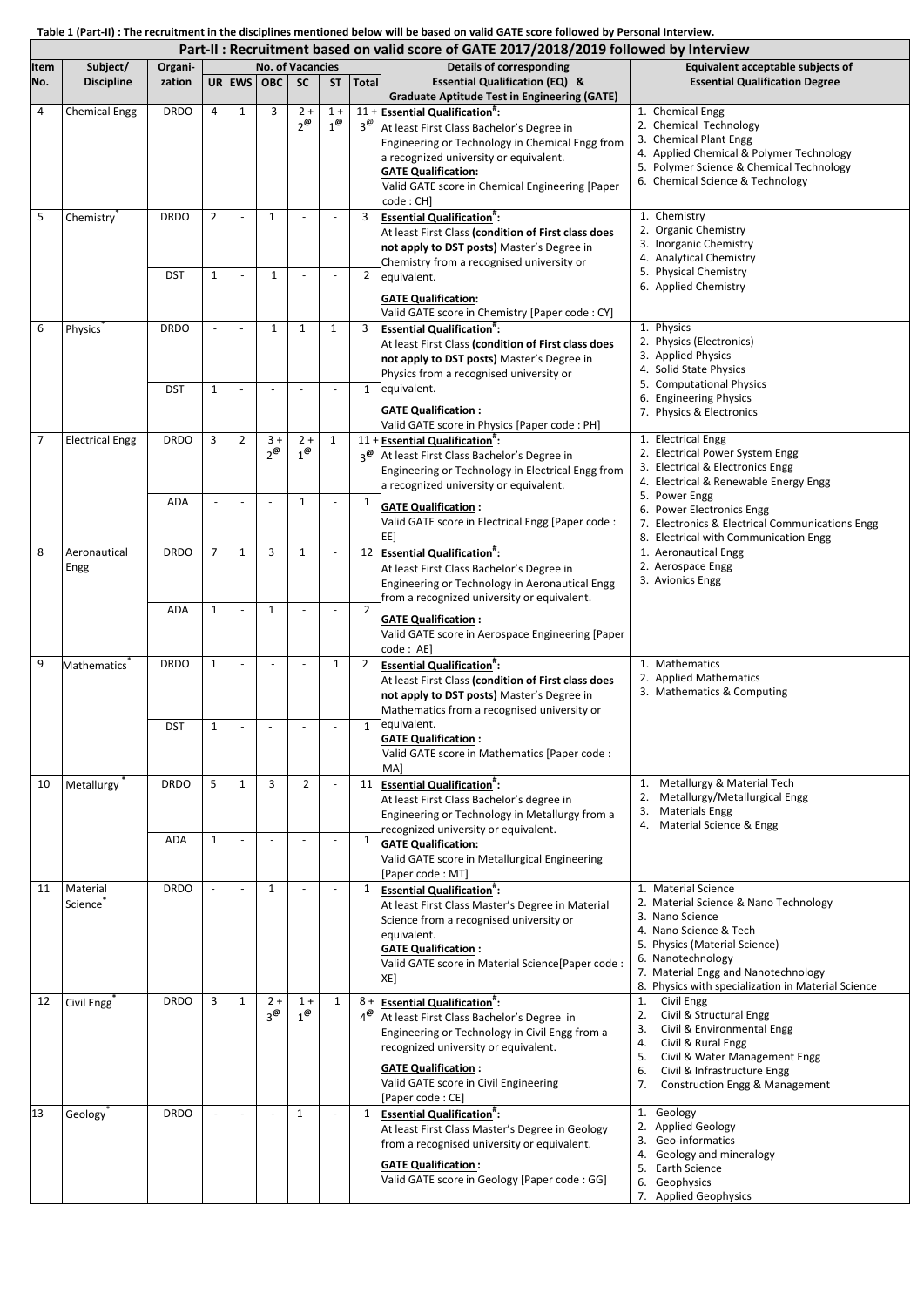Table 1 (Part-II) : The recruitment in the disciplines mentioned below will be based on valid GATE score followed by Personal Interview.

| Part-II : Recruitment based on valid score of GATE 2017/2018/2019 followed by Interview |                        |             |                |                |                         |                                |                     |                       |                                                                                                                                                                                                                                                                                |                                                                                                                                                                                                                                                              |  |  |
|-----------------------------------------------------------------------------------------|------------------------|-------------|----------------|----------------|-------------------------|--------------------------------|---------------------|-----------------------|--------------------------------------------------------------------------------------------------------------------------------------------------------------------------------------------------------------------------------------------------------------------------------|--------------------------------------------------------------------------------------------------------------------------------------------------------------------------------------------------------------------------------------------------------------|--|--|
| <b>Item</b>                                                                             | Subject/               | Organi-     |                |                | <b>No. of Vacancies</b> |                                |                     |                       | <b>Details of corresponding</b>                                                                                                                                                                                                                                                | Equivalent acceptable subjects of                                                                                                                                                                                                                            |  |  |
| No.                                                                                     | <b>Discipline</b>      | zation      |                |                | UR EWS OBC              | <b>SC</b>                      | <b>ST</b>           | <b>Total</b>          | <b>Essential Qualification (EQ) &amp;</b><br><b>Graduate Aptitude Test in Engineering (GATE)</b>                                                                                                                                                                               | <b>Essential Qualification Degree</b>                                                                                                                                                                                                                        |  |  |
| 4                                                                                       | <b>Chemical Engg</b>   | <b>DRDO</b> | 4              | $\mathbf{1}$   | 3                       | $2 +$<br>$2^{\omega}$          | $1 +$<br>$1^\omega$ | $3^\omega$            | 11 + Essential Qualification":<br>At least First Class Bachelor's Degree in<br>Engineering or Technology in Chemical Engg from<br>a recognized university or equivalent.<br><b>GATE Qualification:</b><br>Valid GATE score in Chemical Engineering [Paper<br>code: CH]         | 1. Chemical Engg<br>2. Chemical Technology<br>3. Chemical Plant Engg<br>4. Applied Chemical & Polymer Technology<br>5. Polymer Science & Chemical Technology<br>6. Chemical Science & Technology                                                             |  |  |
| 5                                                                                       | Chemistry              | <b>DRDO</b> | $\overline{2}$ |                | 1                       |                                |                     | 3                     | <b>Essential Qualification#:</b><br>At least First Class (condition of First class does<br>not apply to DST posts) Master's Degree in<br>Chemistry from a recognised university or                                                                                             | 1. Chemistry<br>2. Organic Chemistry<br>3. Inorganic Chemistry<br>4. Analytical Chemistry                                                                                                                                                                    |  |  |
|                                                                                         |                        | <b>DST</b>  | $\mathbf{1}$   |                | $\mathbf{1}$            |                                |                     | $\overline{2}$        | equivalent.<br><b>GATE Qualification:</b><br>Valid GATE score in Chemistry [Paper code : CY]                                                                                                                                                                                   | 5. Physical Chemistry<br>6. Applied Chemistry                                                                                                                                                                                                                |  |  |
| 6                                                                                       | <b>Physics</b>         | <b>DRDO</b> |                |                | 1                       | $\mathbf{1}$                   | 1                   | 3                     | <b>Essential Qualification<sup>#</sup>:</b><br>At least First Class (condition of First class does<br>not apply to DST posts) Master's Degree in<br>Physics from a recognised university or                                                                                    | 1. Physics<br>2. Physics (Electronics)<br>3. Applied Physics<br>4. Solid State Physics<br>5. Computational Physics                                                                                                                                           |  |  |
|                                                                                         |                        | <b>DST</b>  | 1              |                |                         |                                |                     | $\mathbf{1}$          | equivalent.<br><b>GATE Qualification:</b><br>Valid GATE score in Physics [Paper code : PH]                                                                                                                                                                                     | 6. Engineering Physics<br>7. Physics & Electronics                                                                                                                                                                                                           |  |  |
| $\overline{7}$                                                                          | <b>Electrical Engg</b> | <b>DRDO</b> | 3              | $\overline{2}$ | $3 +$<br>$2^{\omega}$   | $2 +$<br>$1^{\omega}$          | 1                   | $3^\omega$            | 11 + Essential Qualification <sup>#</sup> :<br>At least First Class Bachelor's Degree in<br>Engineering or Technology in Electrical Engg from<br>a recognized university or equivalent.                                                                                        | 1. Electrical Engg<br>2. Electrical Power System Engg<br>3. Electrical & Electronics Engg<br>4. Electrical & Renewable Energy Engg<br>5. Power Engg                                                                                                          |  |  |
|                                                                                         |                        | <b>ADA</b>  |                |                |                         | $\mathbf{1}$                   |                     | 1                     | <b>GATE Qualification:</b><br>Valid GATE score in Electrical Engg [Paper code :<br>EE]                                                                                                                                                                                         | 6. Power Electronics Engg<br>7. Electronics & Electrical Communications Engg<br>8. Electrical with Communication Engg                                                                                                                                        |  |  |
| 8                                                                                       | Aeronautical<br>Engg   | <b>DRDO</b> | $\overline{7}$ | 1              | 3                       | $\mathbf{1}$                   |                     |                       | 12 Essential Qualification":<br>At least First Class Bachelor's Degree in<br>Engineering or Technology in Aeronautical Engg<br>from a recognized university or equivalent.                                                                                                     | 1. Aeronautical Engg<br>2. Aerospace Engg<br>3. Avionics Engg                                                                                                                                                                                                |  |  |
|                                                                                         |                        | <b>ADA</b>  | 1              |                | $\mathbf{1}$            |                                |                     | $\overline{2}$        | <b>GATE Qualification:</b><br>Valid GATE score in Aerospace Engineering [Paper<br>code: AE]                                                                                                                                                                                    |                                                                                                                                                                                                                                                              |  |  |
| 9                                                                                       | Mathematics            | <b>DRDO</b> | $\mathbf{1}$   |                |                         |                                | 1                   | 2                     | <b>Essential Qualification":</b><br>At least First Class (condition of First class does<br>not apply to DST posts) Master's Degree in<br>Mathematics from a recognised university or                                                                                           | 1. Mathematics<br>2. Applied Mathematics<br>3. Mathematics & Computing                                                                                                                                                                                       |  |  |
|                                                                                         |                        | <b>DST</b>  | $\mathbf{1}$   |                |                         |                                |                     | $\mathbf{1}$          | equivalent.<br><b>GATE Qualification:</b><br>Valid GATE score in Mathematics [Paper code :<br>MA <sub>l</sub>                                                                                                                                                                  |                                                                                                                                                                                                                                                              |  |  |
| 10                                                                                      | Metallurgy             | <b>DRDO</b> | 5              | 1              | 3                       | $\overline{2}$                 |                     | 11                    | <b>Essential Qualification<sup>#</sup>:</b><br>At least First Class Bachelor's degree in<br>Engineering or Technology in Metallurgy from a<br>recognized university or equivalent.                                                                                             | Metallurgy & Material Tech<br>1.<br>Metallurgy/Metallurgical Engg<br>2.<br><b>Materials Engg</b><br>3.<br>Material Science & Engg<br>4.                                                                                                                      |  |  |
|                                                                                         |                        | <b>ADA</b>  | 1              |                |                         |                                |                     | 1                     | <b>GATE Qualification:</b><br>Valid GATE score in Metallurgical Engineering<br>[Paper code: MT]                                                                                                                                                                                |                                                                                                                                                                                                                                                              |  |  |
| 11                                                                                      | Material<br>Science    | <b>DRDO</b> |                |                | $\mathbf{1}$            |                                |                     |                       | 1 Essential Qualification <sup>#</sup> :<br>At least First Class Master's Degree in Material<br>Science from a recognised university or<br>equivalent.<br><b>GATE Qualification:</b><br>Valid GATE score in Material Science[Paper code :<br>XE]                               | 1. Material Science<br>2. Material Science & Nano Technology<br>3. Nano Science<br>4. Nano Science & Tech<br>5. Physics (Material Science)<br>6. Nanotechnology<br>7. Material Engg and Nanotechnology<br>8. Physics with specialization in Material Science |  |  |
| 12                                                                                      | Civil Engg             | <b>DRDO</b> | 3              | $\mathbf{1}$   | $2+$<br>$3^\omega$      | $1 +$<br>$1^{\textregistered}$ | $\mathbf{1}$        | $8+$<br>$4^\circledR$ | <b>Essential Qualification<sup>#</sup>:</b><br>At least First Class Bachelor's Degree in<br>Engineering or Technology in Civil Engg from a<br>recognized university or equivalent.<br><b>GATE Qualification:</b><br>Valid GATE score in Civil Engineering<br>[Paper code : CE] | 1.<br>Civil Engg<br>Civil & Structural Engg<br>2.<br>3.<br>Civil & Environmental Engg<br>Civil & Rural Engg<br>4.<br>Civil & Water Management Engg<br>5.<br>Civil & Infrastructure Engg<br>6.<br>Construction Engg & Management<br>7.                        |  |  |
| 13                                                                                      | <b>Geology</b>         | <b>DRDO</b> |                |                |                         | 1                              |                     | $\mathbf{1}$          | <b>Essential Qualification<sup>#</sup>:</b><br>At least First Class Master's Degree in Geology<br>from a recognised university or equivalent.<br><b>GATE Qualification:</b><br>Valid GATE score in Geology [Paper code : GG]                                                   | 1. Geology<br>2. Applied Geology<br>3. Geo-informatics<br>4. Geology and mineralogy<br>5. Earth Science<br>6. Geophysics<br>7. Applied Geophysics                                                                                                            |  |  |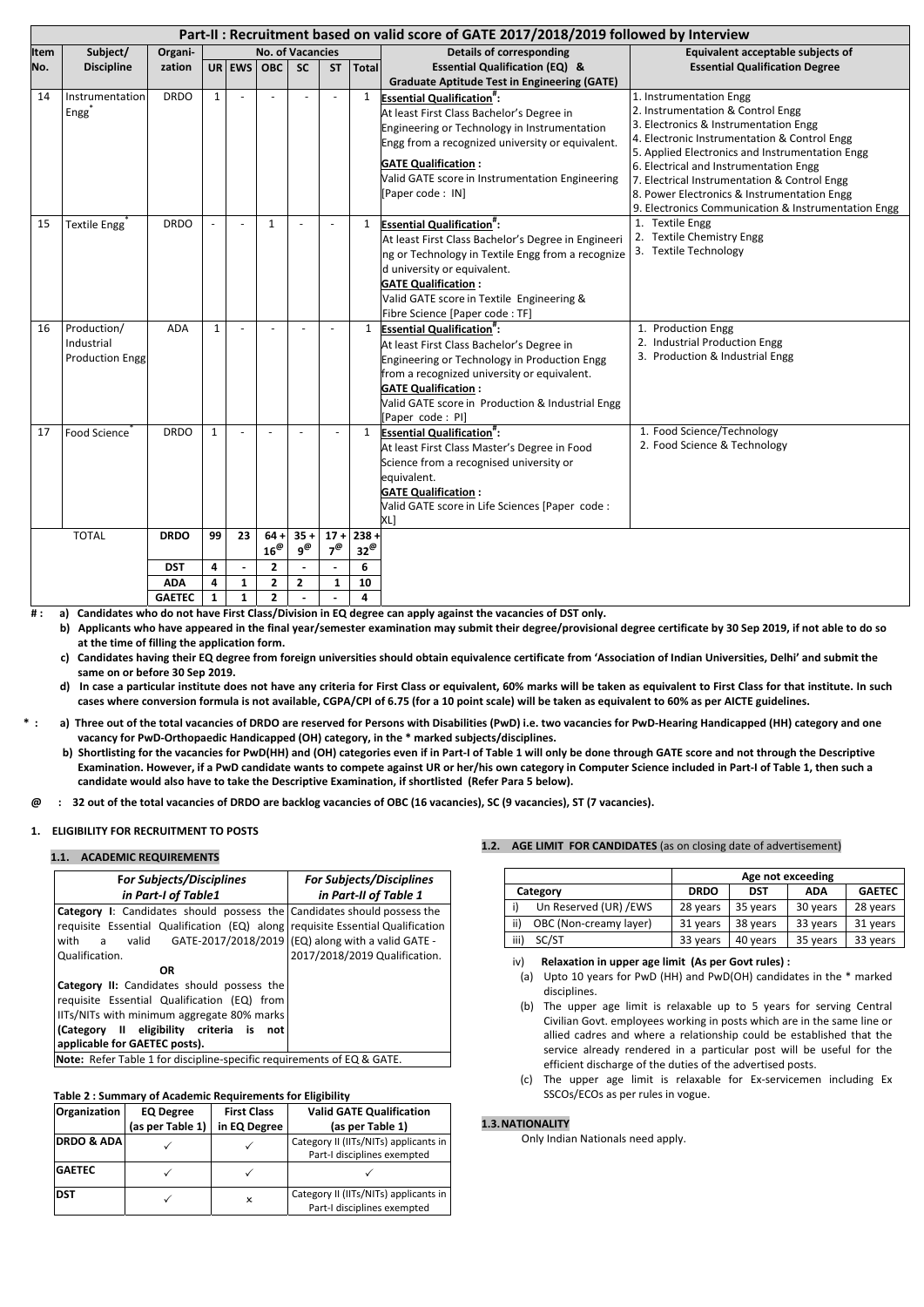|             | Part-II : Recruitment based on valid score of GATE 2017/2018/2019 followed by Interview |               |              |              |                         |                |            |                         |                                                        |                                                                                                    |  |  |
|-------------|-----------------------------------------------------------------------------------------|---------------|--------------|--------------|-------------------------|----------------|------------|-------------------------|--------------------------------------------------------|----------------------------------------------------------------------------------------------------|--|--|
| <b>Item</b> | Subject/                                                                                | Organi-       |              |              | <b>No. of Vacancies</b> |                |            |                         | <b>Details of corresponding</b>                        | Equivalent acceptable subjects of                                                                  |  |  |
| No.         | <b>Discipline</b>                                                                       | zation        |              | UR EWS OBC   |                         | <b>SC</b>      | <b>ST</b>  | <b>Total</b>            | <b>Essential Qualification (EQ) &amp;</b>              | <b>Essential Qualification Degree</b>                                                              |  |  |
|             |                                                                                         |               |              |              |                         |                |            |                         | <b>Graduate Aptitude Test in Engineering (GATE)</b>    |                                                                                                    |  |  |
| 14          | Instrumentation                                                                         | <b>DRDO</b>   | $\mathbf{1}$ |              |                         |                |            | $\mathbf{1}$            | <b>Essential Qualification":</b>                       | 1. Instrumentation Engg                                                                            |  |  |
|             | Engg                                                                                    |               |              |              |                         |                |            |                         | At least First Class Bachelor's Degree in              | 2. Instrumentation & Control Engg                                                                  |  |  |
|             |                                                                                         |               |              |              |                         |                |            |                         | Engineering or Technology in Instrumentation           | 3. Electronics & Instrumentation Engg                                                              |  |  |
|             |                                                                                         |               |              |              |                         |                |            |                         | Engg from a recognized university or equivalent.       | 4. Electronic Instrumentation & Control Engg                                                       |  |  |
|             |                                                                                         |               |              |              |                         |                |            |                         | <b>GATE Qualification:</b>                             | 5. Applied Electronics and Instrumentation Engg                                                    |  |  |
|             |                                                                                         |               |              |              |                         |                |            |                         | Valid GATE score in Instrumentation Engineering        | 6. Electrical and Instrumentation Engg                                                             |  |  |
|             |                                                                                         |               |              |              |                         |                |            |                         | [Paper code: IN]                                       | 7. Electrical Instrumentation & Control Engg                                                       |  |  |
|             |                                                                                         |               |              |              |                         |                |            |                         |                                                        | 8. Power Electronics & Instrumentation Engg<br>9. Electronics Communication & Instrumentation Engg |  |  |
| 15          |                                                                                         | <b>DRDO</b>   |              |              |                         |                |            |                         |                                                        | 1. Textile Engg                                                                                    |  |  |
|             | Textile Engg                                                                            |               |              |              | $\mathbf 1$             |                |            | 1                       | <b>Essential Qualification#:</b>                       | 2. Textile Chemistry Engg                                                                          |  |  |
|             |                                                                                         |               |              |              |                         |                |            |                         | At least First Class Bachelor's Degree in Engineeri    | 3. Textile Technology                                                                              |  |  |
|             |                                                                                         |               |              |              |                         |                |            |                         | ng or Technology in Textile Engg from a recognize      |                                                                                                    |  |  |
|             |                                                                                         |               |              |              |                         |                |            |                         | d university or equivalent.                            |                                                                                                    |  |  |
|             |                                                                                         |               |              |              |                         |                |            |                         | <b>GATE Qualification:</b>                             |                                                                                                    |  |  |
|             |                                                                                         |               |              |              |                         |                |            |                         | Valid GATE score in Textile Engineering &              |                                                                                                    |  |  |
|             |                                                                                         |               |              |              |                         |                |            |                         | Fibre Science [Paper code : TF]                        |                                                                                                    |  |  |
| 16          | Production/                                                                             | <b>ADA</b>    | 1            |              |                         |                |            | 1                       | <b>Essential Qualification<sup>#</sup></b> :           | 1. Production Engg                                                                                 |  |  |
|             | Industrial                                                                              |               |              |              |                         |                |            |                         | At least First Class Bachelor's Degree in              | 2. Industrial Production Engg<br>3. Production & Industrial Engg                                   |  |  |
|             | <b>Production Engg</b>                                                                  |               |              |              |                         |                |            |                         | Engineering or Technology in Production Engg           |                                                                                                    |  |  |
|             |                                                                                         |               |              |              |                         |                |            |                         | from a recognized university or equivalent.            |                                                                                                    |  |  |
|             |                                                                                         |               |              |              |                         |                |            |                         | <b>GATE Qualification:</b>                             |                                                                                                    |  |  |
|             |                                                                                         |               |              |              |                         |                |            |                         | Valid GATE score in Production & Industrial Engg       |                                                                                                    |  |  |
|             |                                                                                         |               |              |              |                         |                |            |                         | [Paper code: PI]                                       |                                                                                                    |  |  |
| 17          | Food Science                                                                            | <b>DRDO</b>   | $\mathbf{1}$ |              |                         |                |            | 1                       | <b>Essential Qualification</b> ":                      | 1. Food Science/Technology<br>2. Food Science & Technology                                         |  |  |
|             |                                                                                         |               |              |              |                         |                |            |                         | At least First Class Master's Degree in Food           |                                                                                                    |  |  |
|             |                                                                                         |               |              |              |                         |                |            |                         | Science from a recognised university or                |                                                                                                    |  |  |
|             |                                                                                         |               |              |              |                         |                |            |                         | equivalent.                                            |                                                                                                    |  |  |
|             |                                                                                         |               |              |              |                         |                |            |                         | <b>GATE Qualification:</b>                             |                                                                                                    |  |  |
|             |                                                                                         |               |              |              |                         |                |            |                         | Valid GATE score in Life Sciences [Paper code :<br>XL] |                                                                                                    |  |  |
|             | <b>TOTAL</b><br><b>DRDO</b><br>99<br>23<br>$64 +$<br>$35 +$<br>$17 +$                   |               |              | $238 +$      |                         |                |            |                         |                                                        |                                                                                                    |  |  |
|             |                                                                                         |               |              |              | $16^\text{\O}$          | $9^\text{\O}$  | $7^\omega$ | $32^\omega$             |                                                        |                                                                                                    |  |  |
|             |                                                                                         | <b>DST</b>    | 4            |              | $\mathbf{2}$            |                |            | 6                       |                                                        |                                                                                                    |  |  |
|             |                                                                                         | <b>ADA</b>    | 4            | $\mathbf{1}$ | $\mathbf{2}$            | $\overline{2}$ | 1          | 10                      |                                                        |                                                                                                    |  |  |
|             |                                                                                         | <b>GAETEC</b> | 1            | $\mathbf{1}$ | $\mathbf{2}$            |                |            | $\overline{\mathbf{4}}$ |                                                        |                                                                                                    |  |  |

#: a) Candidates who do not have First Class/Division in EQ degree can apply against the vacancies of DST only.

b) Applicants who have appeared in the final year/semester examination may submit their degree/provisional degree certificate by 30 Sep 2019, if not able to do so **at the time of filling the application form.**

- c) Candidates having their EQ degree from foreign universities should obtain equivalence certificate from 'Association of Indian Universities, Delhi' and submit the **same on or before 30 Sep 2019.**
- d) In case a particular institute does not have any criteria for First Class or equivalent, 60% marks will be taken as equivalent to First Class for that institute. In such cases where conversion formula is not available, CGPA/CPI of 6.75 (for a 10 point scale) will be taken as equivalent to 60% as per AICTE guidelines.
- \*: a) Three out of the total vacancies of DRDO are reserved for Persons with Disabilities (PwD) i.e. two vacancies for PwD-Hearing Handicapped (HH) category and one **vacancy for PwD‐Orthopaedic Handicapped (OH) category, in the \* marked subjects/disciplines.**
	- b) Shortlisting for the vacancies for PwD(HH) and (OH) categories even if in Part-I of Table 1 will only be done through GATE score and not through the Descriptive Examination. However, if a PwD candidate wants to compete against UR or her/his own category in Computer Science included in Part-I of Table 1, then such a **candidate would also have to take the Descriptive Examination, if shortlisted (Refer Para 5 below).**
- @ : 32 out of the total vacancies of DRDO are backlog vacancies of OBC (16 vacancies), SC (9 vacancies), ST (7 vacancies).

## **1. ELIGIBILITY FOR RECRUITMENT TO POSTS**

## **1.1. ACADEMIC REQUIREMENTS**

| <b>For Subjects/Disciplines</b>                                                | <b>For Subjects/Disciplines</b> |  |  |  |
|--------------------------------------------------------------------------------|---------------------------------|--|--|--|
| in Part-I of Table1                                                            | in Part-II of Table 1           |  |  |  |
| <b>Category I:</b> Candidates should possess the Candidates should possess the |                                 |  |  |  |
| requisite Essential Qualification (EQ) along requisite Essential Qualification |                                 |  |  |  |
| valid GATE-2017/2018/2019 (EQ) along with a valid GATE -<br>with<br>a          |                                 |  |  |  |
| Qualification.                                                                 | 2017/2018/2019 Qualification.   |  |  |  |
| <b>OR</b>                                                                      |                                 |  |  |  |
| Category II: Candidates should possess the                                     |                                 |  |  |  |
| requisite Essential Qualification (EQ) from                                    |                                 |  |  |  |
| IITs/NITs with minimum aggregate 80% marks                                     |                                 |  |  |  |
| II eligibility criteria<br>(Category)<br>is<br>not                             |                                 |  |  |  |
| applicable for GAETEC posts).                                                  |                                 |  |  |  |

## **Table 2 : Summary of Academic Requirements for Eligibility**

| Organization          | <b>EQ Degree</b> | <b>First Class</b> | <b>Valid GATE Qualification</b>                                      |
|-----------------------|------------------|--------------------|----------------------------------------------------------------------|
|                       | (as per Table 1) | in EQ Degree       | (as per Table 1)                                                     |
| <b>DRDO &amp; ADA</b> |                  |                    | Category II (IITs/NITs) applicants in<br>Part-I disciplines exempted |
| <b>GAETEC</b>         |                  |                    |                                                                      |
| <b>DST</b>            |                  | ×                  | Category II (IITs/NITs) applicants in<br>Part-I disciplines exempted |

## **1.2. AGE LIMIT FOR CANDIDATES** (as on closing date of advertisement)

|                               | Age not exceeding |            |            |               |  |  |
|-------------------------------|-------------------|------------|------------|---------------|--|--|
| Category                      | <b>DRDO</b>       | <b>DST</b> | <b>ADA</b> | <b>GAETEC</b> |  |  |
| Un Reserved (UR) /EWS         | 28 years          | 35 years   | 30 years   | 28 years      |  |  |
| ii)<br>OBC (Non-creamy layer) | 31 years          | 38 years   | 33 years   | 31 years      |  |  |
| SC/ST<br>iii)                 | 33 years          | 40 years   | 35 years   | 33 years      |  |  |

iv)  **Relaxation in upper age limit (As per Govt rules) :**

(a) Upto 10 years for PwD (HH) and PwD(OH) candidates in the \* marked

**Note:** Refer Table 1 for discipline-specific requirements of EQ & GATE.

#### disciplines.

- (b) The upper age limit is relaxable up to 5 years for serving Central Civilian Govt. employees working in posts which are in the same line or allied cadres and where a relationship could be established that the service already rendered in a particular post will be useful for the efficient discharge of the duties of the advertised posts.
- (c) The upper age limit is relaxable for Ex‐servicemen including Ex SSCOs/ECOs as per rules in vogue.

# **1.3.NATIONALITY**

Only Indian Nationals need apply.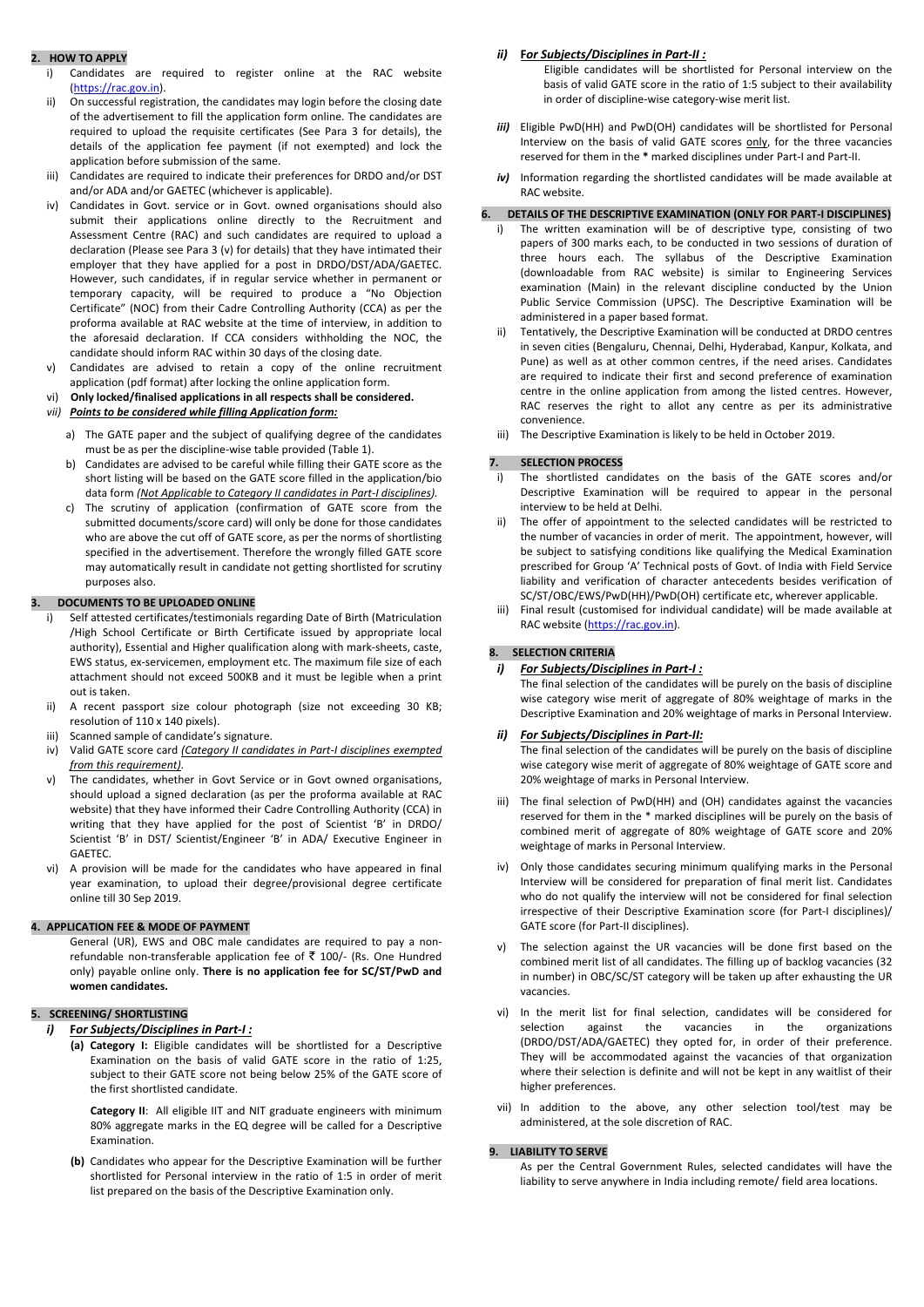# **2. HOW TO APPLY**

- i) Candidates are required to register online at the RAC website (https://rac.gov.in).
- ii) On successful registration, the candidates may login before the closing date of the advertisement to fill the application form online. The candidates are required to upload the requisite certificates (See Para 3 for details), the details of the application fee payment (if not exempted) and lock the application before submission of the same.
- iii) Candidates are required to indicate their preferences for DRDO and/or DST and/or ADA and/or GAETEC (whichever is applicable).
- iv) Candidates in Govt. service or in Govt. owned organisations should also submit their applications online directly to the Recruitment and Assessment Centre (RAC) and such candidates are required to upload a declaration (Please see Para 3 (v) for details) that they have intimated their employer that they have applied for a post in DRDO/DST/ADA/GAETEC. However, such candidates, if in regular service whether in permanent or temporary capacity, will be required to produce a "No Objection Certificate" (NOC) from their Cadre Controlling Authority (CCA) as per the proforma available at RAC website at the time of interview, in addition to the aforesaid declaration. If CCA considers withholding the NOC, the candidate should inform RAC within 30 days of the closing date.
- v) Candidates are advised to retain a copy of the online recruitment application (pdf format) after locking the online application form.
- vi) **Only locked/finalised applications in all respects shall be considered.**
- *vii) Points to be considered while filling Application form:*
	- a) The GATE paper and the subject of qualifying degree of the candidates must be as per the discipline‐wise table provided (Table 1).
	- b) Candidates are advised to be careful while filling their GATE score as the short listing will be based on the GATE score filled in the application/bio data form *(Not Applicable to Category II candidates in Part‐I disciplines).*
	- c) The scrutiny of application (confirmation of GATE score from the submitted documents/score card) will only be done for those candidates who are above the cut off of GATE score, as per the norms of shortlisting specified in the advertisement. Therefore the wrongly filled GATE score may automatically result in candidate not getting shortlisted for scrutiny purposes also.

# **3. DOCUMENTS TO BE UPLOADED ONLINE**

- i) Self attested certificates/testimonials regarding Date of Birth (Matriculation /High School Certificate or Birth Certificate issued by appropriate local authority), Essential and Higher qualification along with mark‐sheets, caste, EWS status, ex‐servicemen, employment etc. The maximum file size of each attachment should not exceed 500KB and it must be legible when a print out is taken.
- ii) A recent passport size colour photograph (size not exceeding 30 KB; resolution of 110 x 140 pixels).
- iii) Scanned sample of candidate's signature.
- iv) Valid GATE score card *(Category II candidates in Part‐I disciplines exempted from this requirement)*.
- v) The candidates, whether in Govt Service or in Govt owned organisations, should upload a signed declaration (as per the proforma available at RAC website) that they have informed their Cadre Controlling Authority (CCA) in writing that they have applied for the post of Scientist 'B' in DRDO/ Scientist 'B' in DST/ Scientist/Engineer 'B' in ADA/ Executive Engineer in GAETEC.
- vi) A provision will be made for the candidates who have appeared in final year examination, to upload their degree/provisional degree certificate online till 30 Sep 2019.

# **4. APPLICATION FEE & MODE OF PAYMENT**

General (UR), EWS and OBC male candidates are required to pay a non‐ refundable non-transferable application fee of  $\bar{z}$  100/- (Rs. One Hundred only) payable online only. **There is no application fee for SC/ST/PwD and women candidates.**

#### **5. SCREENING/ SHORTLISTING**

- *i)* **F***or Subjects/Disciplines in Part‐I :*
	- **(a) Category I:** Eligible candidates will be shortlisted for a Descriptive Examination on the basis of valid GATE score in the ratio of 1:25, subject to their GATE score not being below 25% of the GATE score of the first shortlisted candidate.
		- **Category II**: All eligible IIT and NIT graduate engineers with minimum 80% aggregate marks in the EQ degree will be called for a Descriptive Examination.
	- **(b)** Candidates who appear for the Descriptive Examination will be further shortlisted for Personal interview in the ratio of 1:5 in order of merit list prepared on the basis of the Descriptive Examination only.

# *ii)* **F***or Subjects/Disciplines in Part‐II :*

Eligible candidates will be shortlisted for Personal interview on the basis of valid GATE score in the ratio of 1:5 subject to their availability in order of discipline‐wise category‐wise merit list.

- *iii)* Eligible PwD(HH) and PwD(OH) candidates will be shortlisted for Personal Interview on the basis of valid GATE scores only, for the three vacancies reserved for them in the **\*** marked disciplines under Part‐I and Part‐II.
- *iv)* Information regarding the shortlisted candidates will be made available at RAC website.

## **6. DETAILS OF THE DESCRIPTIVE EXAMINATION (ONLY FOR PART‐I DISCIPLINES)**

- i) The written examination will be of descriptive type, consisting of two papers of 300 marks each, to be conducted in two sessions of duration of three hours each. The syllabus of the Descriptive Examination (downloadable from RAC website) is similar to Engineering Services examination (Main) in the relevant discipline conducted by the Union Public Service Commission (UPSC). The Descriptive Examination will be administered in a paper based format.
- ii) Tentatively, the Descriptive Examination will be conducted at DRDO centres in seven cities (Bengaluru, Chennai, Delhi, Hyderabad, Kanpur, Kolkata, and Pune) as well as at other common centres, if the need arises. Candidates are required to indicate their first and second preference of examination centre in the online application from among the listed centres. However, RAC reserves the right to allot any centre as per its administrative convenience.
- iii) The Descriptive Examination is likely to be held in October 2019.

# **7. SELECTION PROCESS**

- i) The shortlisted candidates on the basis of the GATE scores and/or Descriptive Examination will be required to appear in the personal interview to be held at Delhi.
- ii) The offer of appointment to the selected candidates will be restricted to the number of vacancies in order of merit. The appointment, however, will be subject to satisfying conditions like qualifying the Medical Examination prescribed for Group 'A' Technical posts of Govt. of India with Field Service liability and verification of character antecedents besides verification of SC/ST/OBC/EWS/PwD(HH)/PwD(OH) certificate etc, wherever applicable.
- iii) Final result (customised for individual candidate) will be made available at RAC website (https://rac.gov.in).

# **8. SELECTION CRITERIA**

# *i) For Subjects/Disciplines in Part‐I :*

The final selection of the candidates will be purely on the basis of discipline wise category wise merit of aggregate of 80% weightage of marks in the Descriptive Examination and 20% weightage of marks in Personal Interview.

# *ii) For Subjects/Disciplines in Part‐II:*

The final selection of the candidates will be purely on the basis of discipline wise category wise merit of aggregate of 80% weightage of GATE score and 20% weightage of marks in Personal Interview.

- iii) The final selection of PwD(HH) and (OH) candidates against the vacancies reserved for them in the \* marked disciplines will be purely on the basis of combined merit of aggregate of 80% weightage of GATE score and 20% weightage of marks in Personal Interview.
- iv) Only those candidates securing minimum qualifying marks in the Personal Interview will be considered for preparation of final merit list. Candidates who do not qualify the interview will not be considered for final selection irrespective of their Descriptive Examination score (for Part‐I disciplines)/ GATE score (for Part‐II disciplines).
- v) The selection against the UR vacancies will be done first based on the combined merit list of all candidates. The filling up of backlog vacancies (32 in number) in OBC/SC/ST category will be taken up after exhausting the UR

#### vacancies.

- vi) In the merit list for final selection, candidates will be considered for selection against the vacancies in the organizations (DRDO/DST/ADA/GAETEC) they opted for, in order of their preference. They will be accommodated against the vacancies of that organization where their selection is definite and will not be kept in any waitlist of their higher preferences.
- vii) In addition to the above, any other selection tool/test may be administered, at the sole discretion of RAC.

# **9. LIABILITY TO SERVE**

As per the Central Government Rules, selected candidates will have the liability to serve anywhere in India including remote/ field area locations.